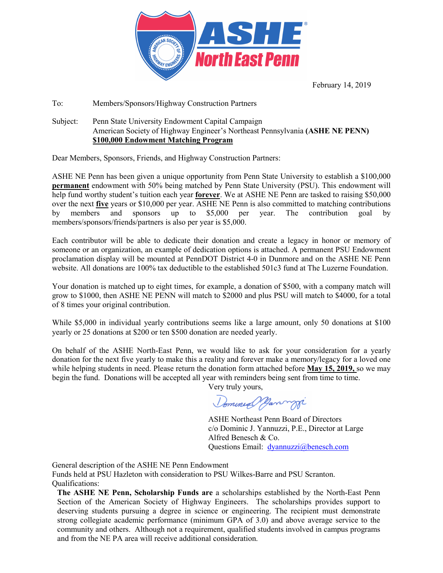

February 14, 2019

#### To: Members/Sponsors/Highway Construction Partners

Subject: Penn State University Endowment Capital Campaign American Society of Highway Engineer's Northeast Pennsylvania **(ASHE NE PENN) \$100,000 Endowment Matching Program**

Dear Members, Sponsors, Friends, and Highway Construction Partners:

ASHE NE Penn has been given a unique opportunity from Penn State University to establish a \$100,000 **permanent** endowment with 50% being matched by Penn State University (PSU). This endowment will help fund worthy student's tuition each year **forever**. We at ASHE NE Penn are tasked to raising \$50,000 over the next **five** years or \$10,000 per year. ASHE NE Penn is also committed to matching contributions by members and sponsors up to \$5,000 per year. The contribution goal by members/sponsors/friends/partners is also per year is \$5,000.

Each contributor will be able to dedicate their donation and create a legacy in honor or memory of someone or an organization, an example of dedication options is attached. A permanent PSU Endowment proclamation display will be mounted at PennDOT District 4-0 in Dunmore and on the ASHE NE Penn website. All donations are 100% tax deductible to the established 501c3 fund at The Luzerne Foundation.

Your donation is matched up to eight times, for example, a donation of \$500, with a company match will grow to \$1000, then ASHE NE PENN will match to \$2000 and plus PSU will match to \$4000, for a total of 8 times your original contribution.

While \$5,000 in individual yearly contributions seems like a large amount, only 50 donations at \$100 yearly or 25 donations at \$200 or ten \$500 donation are needed yearly.

On behalf of the ASHE North-East Penn, we would like to ask for your consideration for a yearly donation for the next five yearly to make this a reality and forever make a memory/legacy for a loved one while helping students in need. Please return the donation form attached before **May 15, 2019,** so we may begin the fund. Donations will be accepted all year with reminders being sent from time to time.

Very truly yours,

Dominial Hannyji

ASHE Northeast Penn Board of Directors c/o Dominic J. Yannuzzi, P.E., Director at Large Alfred Benesch & Co. Questions Email: [dyannuzzi@benesch.com](mailto:dyannuzzi@benesch.com) 

General description of the ASHE NE Penn Endowment

Funds held at PSU Hazleton with consideration to PSU Wilkes-Barre and PSU Scranton. Qualifications:

**The ASHE NE Penn, Scholarship Funds are** a scholarships established by the North-East Penn Section of the American Society of Highway Engineers. The scholarships provides support to deserving students pursuing a degree in science or engineering. The recipient must demonstrate strong collegiate academic performance (minimum GPA of 3.0) and above average service to the community and others. Although not a requirement, qualified students involved in campus programs and from the NE PA area will receive additional consideration.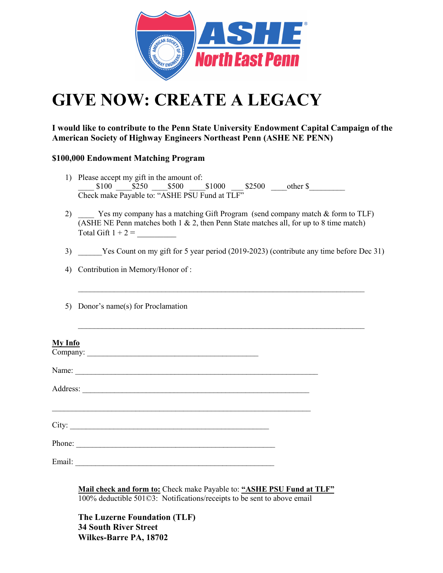

# **GIVE NOW: CREATE A LEGACY**

**I would like to contribute to the Penn State University Endowment Capital Campaign of the American Society of Highway Engineers Northeast Penn (ASHE NE PENN)** 

### **\$100,000 Endowment Matching Program**

- 1) Please accept my gift in the amount of:  $$100 \quad $250 \quad $500 \quad $1000 \quad $2500 \quad \text{other $$}$ Check make Payable to: "ASHE PSU Fund at TLF"
- 2) Yes my company has a matching Gift Program (send company match & form to TLF) (ASHE NE Penn matches both 1  $\&$  2, then Penn State matches all, for up to 8 time match) Total Gift  $1 + 2 =$
- 3) \_\_\_\_\_\_Yes Count on my gift for 5 year period (2019-2023) (contribute any time before Dec 31)

 $\_$ 

 $\_$ 

- 4) Contribution in Memory/Honor of :
- 5) Donor's name(s) for Proclamation

| <b>My Info</b><br>Company:                                                                                                        |  |
|-----------------------------------------------------------------------------------------------------------------------------------|--|
| Name:                                                                                                                             |  |
| Address:<br><u> 1986 - Johann Stoff, deutscher Stoff, der Stoff, der Stoff, der Stoff, der Stoff, der Stoff, der Stoff, der S</u> |  |
|                                                                                                                                   |  |
| Phone:                                                                                                                            |  |
| Email:                                                                                                                            |  |

**Mail check and form to:** Check make Payable to: **"ASHE PSU Fund at TLF"** 100% deductible 501©3: Notifications/receipts to be sent to above email

**The Luzerne Foundation (TLF) 34 South River Street Wilkes-Barre PA, 18702**